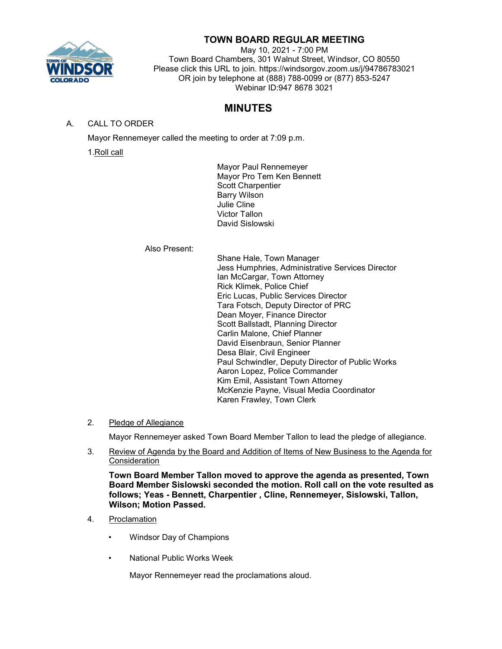

# **TOWN BOARD REGULAR MEETING**

May 10, 2021 - 7:00 PM Town Board Chambers, 301 Walnut Street, Windsor, CO 80550 Please click this URL to join. https://windsorgov.zoom.us/j/94786783021 OR join by telephone at (888) 788-0099 or (877) 853-5247 Webinar ID:947 8678 3021

# **MINUTES**

# A. CALL TO ORDER

Mayor Rennemeyer called the meeting to order at 7:09 p.m.

1.Roll call

Mayor Paul Rennemeyer Mayor Pro Tem Ken Bennett Scott Charpentier Barry Wilson Julie Cline Victor Tallon David Sislowski

# Also Present:

Shane Hale, Town Manager Jess Humphries, Administrative Services Director Ian McCargar, Town Attorney Rick Klimek, Police Chief Eric Lucas, Public Services Director Tara Fotsch, Deputy Director of PRC Dean Moyer, Finance Director Scott Ballstadt, Planning Director Carlin Malone, Chief Planner David Eisenbraun, Senior Planner Desa Blair, Civil Engineer Paul Schwindler, Deputy Director of Public Works Aaron Lopez, Police Commander Kim Emil, Assistant Town Attorney McKenzie Payne, Visual Media Coordinator Karen Frawley, Town Clerk

2. Pledge of Allegiance

Mayor Rennemeyer asked Town Board Member Tallon to lead the pledge of allegiance.

3. Review of Agenda by the Board and Addition of Items of New Business to the Agenda for **Consideration** 

**Town Board Member Tallon moved to approve the agenda as presented, Town Board Member Sislowski seconded the motion. Roll call on the vote resulted as follows; Yeas - Bennett, Charpentier , Cline, Rennemeyer, Sislowski, Tallon, Wilson; Motion Passed.**

- 4. Proclamation
	- Windsor Day of Champions
	- National Public Works Week

Mayor Rennemeyer read the proclamations aloud.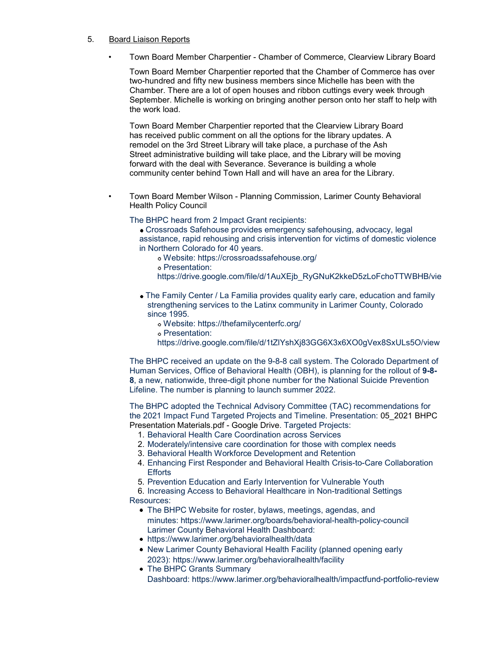### 5. Board Liaison Reports

• Town Board Member Charpentier - Chamber of Commerce, Clearview Library Board

Town Board Member Charpentier reported that the Chamber of Commerce has over two-hundred and fifty new business members since Michelle has been with the Chamber. There are a lot of open houses and ribbon cuttings every week through September. Michelle is working on bringing another person onto her staff to help with the work load.

Town Board Member Charpentier reported that the Clearview Library Board has received public comment on all the options for the library updates. A remodel on the 3rd Street Library will take place, a purchase of the Ash Street administrative building will take place, and the Library will be moving forward with the deal with Severance. Severance is building a whole community center behind Town Hall and will have an area for the Library.

• Town Board Member Wilson - Planning Commission, Larimer County Behavioral Health Policy Council

The BHPC heard from 2 Impact Grant recipients:

- Crossroads Safehouse provides emergency safehousing, advocacy, legal assistance, rapid rehousing and crisis intervention for victims of domestic violence in Northern Colorado for 40 years.
	- Website:<https://crossroadssafehouse.org/>
	- Presentation:
	- [https://drive.google.com/file/d/1AuXEjb\\_RyGNuK2kkeD5zLoFchoTTWBHB/vie](https://drive.google.com/file/d/1AuXEjb_RyGNuK2kkeD5zLoFchoTTWBHB/view)
- The Family Center / La Familia provides quality early care, education and family strengthening services to the Latinx community in Larimer County, Colorado since 1995.
	- Website:<https://thefamilycenterfc.org/>
	- Presentation:
	- <https://drive.google.com/file/d/1tZlYshXj83GG6X3x6XO0gVex8SxULs5O/view>

The BHPC received an update on the 9-8-8 call system. The Colorado Department of Human Services, Office of Behavioral Health (OBH), is planning for the rollout of **9-8- 8**, a new, nationwide, three-digit phone number for the National Suicide Prevention Lifeline. The number is planning to launch summer 2022.

The BHPC adopted the Technical Advisory Committee (TAC) recommendations for the 2021 [Impact Fund Targeted Projects and Timeline. Presentation: 05\\_2021 BHPC](https://drive.google.com/file/d/1J6aaWYc-ljhc7uTEijMqF5Q4hd8dcXnN/view) [Presentation](https://drive.google.com/file/d/1J6aaWYc-ljhc7uTEijMqF5Q4hd8dcXnN/view) Materials.pdf - [Google Drive. Targeted Projects:](https://drive.google.com/file/d/1J6aaWYc-ljhc7uTEijMqF5Q4hd8dcXnN/view)

- 1. Behavioral Health Care Coordination across Services
- 2. Moderately/intensive care coordination for those with complex needs
- 3. Behavioral Health Workforce Development and Retention
- 4. Enhancing First Responder and Behavioral Health Crisis-to-Care Collaboration **Efforts**
- 5. Prevention Education and Early Intervention for Vulnerable Youth

6. Increasing Access to Behavioral Healthcare in Non-traditional Settings Resources:

- The BHPC Website for roster, bylaws, meetings, agendas, and minutes:<https://www.larimer.org/boards/behavioral-health-policy-council> Larimer County Behavioral Health Dashboard:
- <https://www.larimer.org/behavioralhealth/data>
- New Larimer County Behavioral Health Facility (planned opening early 2023):<https://www.larimer.org/behavioralhealth/facility>
- The BHPC Grants Summary Dashboard:<https://www.larimer.org/behavioralhealth/impactfund-portfolio-review>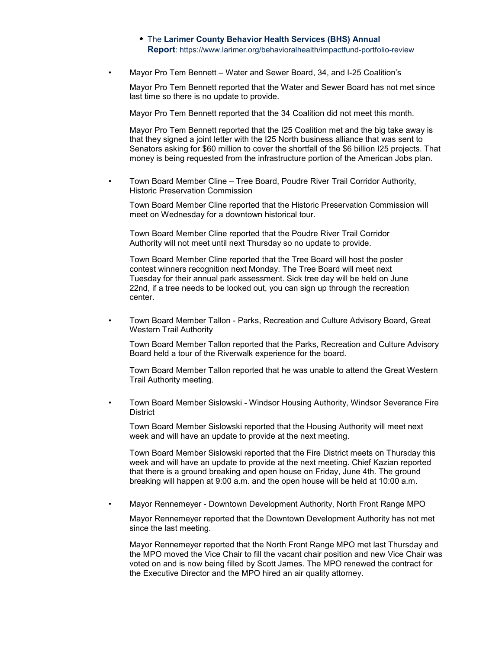- The **Larimer County Behavior Health Services (BHS) Annual Report**:<https://www.larimer.org/behavioralhealth/impactfund-portfolio-review>
- Mayor Pro Tem Bennett Water and Sewer Board, 34, and I-25 Coalition's

Mayor Pro Tem Bennett reported that the Water and Sewer Board has not met since last time so there is no update to provide.

Mayor Pro Tem Bennett reported that the 34 Coalition did not meet this month.

Mayor Pro Tem Bennett reported that the I25 Coalition met and the big take away is that they signed a joint letter with the I25 North business alliance that was sent to Senators asking for \$60 million to cover the shortfall of the \$6 billion I25 projects. That money is being requested from the infrastructure portion of the American Jobs plan.

• Town Board Member Cline – Tree Board, Poudre River Trail Corridor Authority, Historic Preservation Commission

Town Board Member Cline reported that the Historic Preservation Commission will meet on Wednesday for a downtown historical tour.

Town Board Member Cline reported that the Poudre River Trail Corridor Authority will not meet until next Thursday so no update to provide.

Town Board Member Cline reported that the Tree Board will host the poster contest winners recognition next Monday. The Tree Board will meet next Tuesday for their annual park assessment. Sick tree day will be held on June 22nd, if a tree needs to be looked out, you can sign up through the recreation center.

• Town Board Member Tallon - Parks, Recreation and Culture Advisory Board, Great Western Trail Authority

Town Board Member Tallon reported that the Parks, Recreation and Culture Advisory Board held a tour of the Riverwalk experience for the board.

Town Board Member Tallon reported that he was unable to attend the Great Western Trail Authority meeting.

• Town Board Member Sislowski - Windsor Housing Authority, Windsor Severance Fire **District** 

Town Board Member Sislowski reported that the Housing Authority will meet next week and will have an update to provide at the next meeting.

Town Board Member Sislowski reported that the Fire District meets on Thursday this week and will have an update to provide at the next meeting. Chief Kazian reported that there is a ground breaking and open house on Friday, June 4th. The ground breaking will happen at 9:00 a.m. and the open house will be held at 10:00 a.m.

• Mayor Rennemeyer - Downtown Development Authority, North Front Range MPO

Mayor Rennemeyer reported that the Downtown Development Authority has not met since the last meeting.

Mayor Rennemeyer reported that the North Front Range MPO met last Thursday and the MPO moved the Vice Chair to fill the vacant chair position and new Vice Chair was voted on and is now being filled by Scott James. The MPO renewed the contract for the Executive Director and the MPO hired an air quality attorney.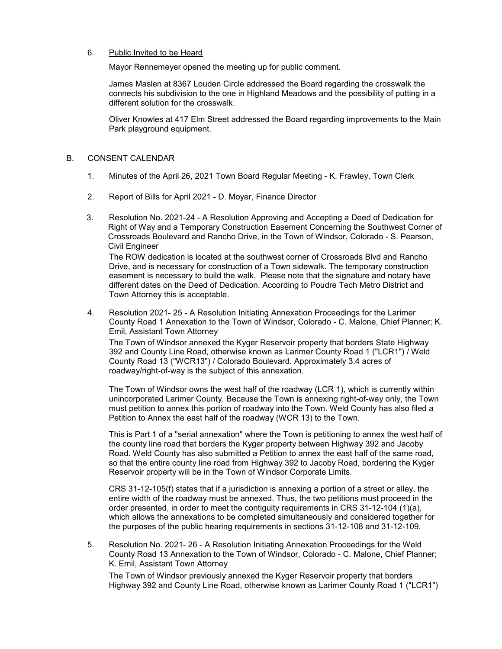# 6. Public Invited to be Heard

Mayor Rennemeyer opened the meeting up for public comment.

James Maslen at 8367 Louden Circle addressed the Board regarding the crosswalk the connects his subdivision to the one in Highland Meadows and the possibility of putting in a different solution for the crosswalk.

Oliver Knowles at 417 Elm Street addressed the Board regarding improvements to the Main Park playground equipment.

### B. CONSENT CALENDAR

- 1. Minutes of the April 26, 2021 Town Board Regular Meeting K. Frawley, Town Clerk
- 2. Report of Bills for April 2021 D. Moyer, Finance Director
- 3. Resolution No. 2021-24 A Resolution Approving and Accepting a Deed of Dedication for Right of Way and a Temporary Construction Easement Concerning the Southwest Corner of Crossroads Boulevard and Rancho Drive, in the Town of Windsor, Colorado - S. Pearson, Civil Engineer

The ROW dedication is located at the southwest corner of Crossroads Blvd and Rancho Drive, and is necessary for construction of a Town sidewalk. The temporary construction easement is necessary to build the walk. Please note that the signature and notary have different dates on the Deed of Dedication. According to Poudre Tech Metro District and Town Attorney this is acceptable.

4. Resolution 2021- 25 - A Resolution Initiating Annexation Proceedings for the Larimer County Road 1 Annexation to the Town of Windsor, Colorado - C. Malone, Chief Planner; K. Emil, Assistant Town Attorney

The Town of Windsor annexed the Kyger Reservoir property that borders State Highway 392 and County Line Road, otherwise known as Larimer County Road 1 ("LCR1") / Weld County Road 13 ("WCR13") / Colorado Boulevard. Approximately 3.4 acres of roadway/right-of-way is the subject of this annexation.

The Town of Windsor owns the west half of the roadway (LCR 1), which is currently within unincorporated Larimer County. Because the Town is annexing right-of-way only, the Town must petition to annex this portion of roadway into the Town. Weld County has also filed a Petition to Annex the east half of the roadway (WCR 13) to the Town.

This is Part 1 of a "serial annexation" where the Town is petitioning to annex the west half of the county line road that borders the Kyger property between Highway 392 and Jacoby Road. Weld County has also submitted a Petition to annex the east half of the same road, so that the entire county line road from Highway 392 to Jacoby Road, bordering the Kyger Reservoir property will be in the Town of Windsor Corporate Limits.

CRS 31-12-105(f) states that if a jurisdiction is annexing a portion of a street or alley, the entire width of the roadway must be annexed. Thus, the two petitions must proceed in the order presented, in order to meet the contiguity requirements in CRS 31-12-104 (1)(a), which allows the annexations to be completed simultaneously and considered together for the purposes of the public hearing requirements in sections 31-12-108 and 31-12-109.

5. Resolution No. 2021- 26 - A Resolution Initiating Annexation Proceedings for the Weld County Road 13 Annexation to the Town of Windsor, Colorado - C. Malone, Chief Planner; K. Emil, Assistant Town Attorney

The Town of Windsor previously annexed the Kyger Reservoir property that borders Highway 392 and County Line Road, otherwise known as Larimer County Road 1 ("LCR1")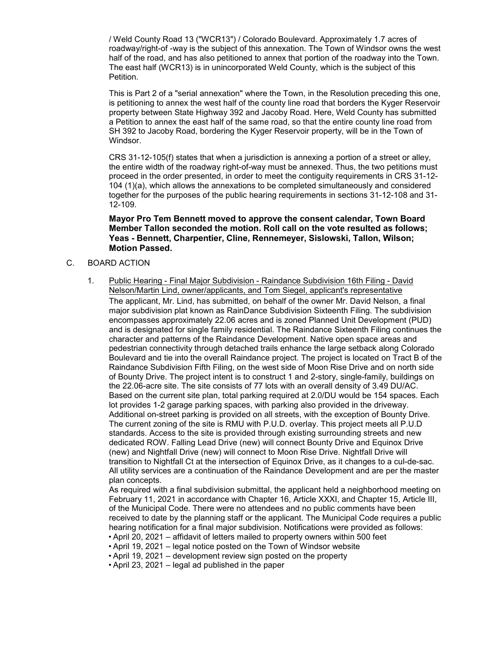/ Weld County Road 13 ("WCR13") / Colorado Boulevard. Approximately 1.7 acres of roadway/right-of -way is the subject of this annexation. The Town of Windsor owns the west half of the road, and has also petitioned to annex that portion of the roadway into the Town. The east half (WCR13) is in unincorporated Weld County, which is the subject of this Petition.

This is Part 2 of a "serial annexation" where the Town, in the Resolution preceding this one, is petitioning to annex the west half of the county line road that borders the Kyger Reservoir property between State Highway 392 and Jacoby Road. Here, Weld County has submitted a Petition to annex the east half of the same road, so that the entire county line road from SH 392 to Jacoby Road, bordering the Kyger Reservoir property, will be in the Town of Windsor.

CRS 31-12-105(f) states that when a jurisdiction is annexing a portion of a street or alley, the entire width of the roadway right-of-way must be annexed. Thus, the two petitions must proceed in the order presented, in order to meet the contiguity requirements in CRS 31-12- 104 (1)(a), which allows the annexations to be completed simultaneously and considered together for the purposes of the public hearing requirements in sections 31-12-108 and 31- 12-109.

# **Mayor Pro Tem Bennett moved to approve the consent calendar, Town Board Member Tallon seconded the motion. Roll call on the vote resulted as follows; Yeas - Bennett, Charpentier, Cline, Rennemeyer, Sislowski, Tallon, Wilson; Motion Passed.**

# C. BOARD ACTION

1. Public Hearing - Final Major Subdivision - Raindance Subdivision 16th Filing - David Nelson/Martin Lind, owner/applicants, and Tom Siegel, applicant's representative The applicant, Mr. Lind, has submitted, on behalf of the owner Mr. David Nelson, a final major subdivision plat known as RainDance Subdivision Sixteenth Filing. The subdivision encompasses approximately 22.06 acres and is zoned Planned Unit Development (PUD) and is designated for single family residential. The Raindance Sixteenth Filing continues the character and patterns of the Raindance Development. Native open space areas and pedestrian connectivity through detached trails enhance the large setback along Colorado Boulevard and tie into the overall Raindance project. The project is located on Tract B of the Raindance Subdivision Fifth Filing, on the west side of Moon Rise Drive and on north side of Bounty Drive. The project intent is to construct 1 and 2-story, single-family, buildings on the 22.06-acre site. The site consists of 77 lots with an overall density of 3.49 DU/AC. Based on the current site plan, total parking required at 2.0/DU would be 154 spaces. Each lot provides 1-2 garage parking spaces, with parking also provided in the driveway. Additional on-street parking is provided on all streets, with the exception of Bounty Drive. The current zoning of the site is RMU with P.U.D. overlay. This project meets all P.U.D standards. Access to the site is provided through existing surrounding streets and new dedicated ROW. Falling Lead Drive (new) will connect Bounty Drive and Equinox Drive (new) and Nightfall Drive (new) will connect to Moon Rise Drive. Nightfall Drive will transition to Nightfall Ct at the intersection of Equinox Drive, as it changes to a cul-de-sac. All utility services are a continuation of the Raindance Development and are per the master plan concepts.

As required with a final subdivision submittal, the applicant held a neighborhood meeting on February 11, 2021 in accordance with Chapter 16, Article XXXI, and Chapter 15, Article III, of the Municipal Code. There were no attendees and no public comments have been received to date by the planning staff or the applicant. The Municipal Code requires a public hearing notification for a final major subdivision. Notifications were provided as follows: • April 20, 2021 – affidavit of letters mailed to property owners within 500 feet

- April 19, 2021 legal notice posted on the Town of Windsor website
- April 19, 2021 development review sign posted on the property
- April 23, 2021 legal ad published in the paper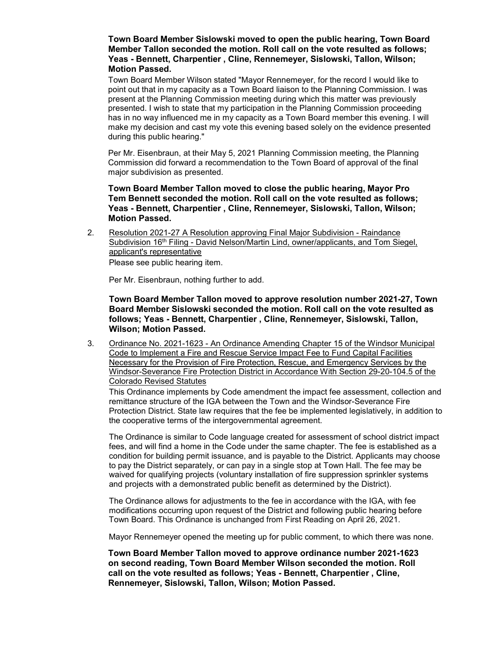**Town Board Member Sislowski moved to open the public hearing, Town Board Member Tallon seconded the motion. Roll call on the vote resulted as follows; Yeas - Bennett, Charpentier , Cline, Rennemeyer, Sislowski, Tallon, Wilson; Motion Passed.**

Town Board Member Wilson stated "Mayor Rennemeyer, for the record I would like to point out that in my capacity as a Town Board liaison to the Planning Commission. I was present at the Planning Commission meeting during which this matter was previously presented. I wish to state that my participation in the Planning Commission proceeding has in no way influenced me in my capacity as a Town Board member this evening. I will make my decision and cast my vote this evening based solely on the evidence presented during this public hearing."

Per Mr. Eisenbraun, at their May 5, 2021 Planning Commission meeting, the Planning Commission did forward a recommendation to the Town Board of approval of the final major subdivision as presented.

**Town Board Member Tallon moved to close the public hearing, Mayor Pro Tem Bennett seconded the motion. Roll call on the vote resulted as follows; Yeas - Bennett, Charpentier , Cline, Rennemeyer, Sislowski, Tallon, Wilson; Motion Passed.**

2. Resolution 2021-27 A Resolution approving Final Major Subdivision - Raindance Subdivision  $16<sup>th</sup>$  Filing - David Nelson/Martin Lind, owner/applicants, and Tom Siegel, applicant's representative Please see public hearing item.

Per Mr. Eisenbraun, nothing further to add.

**Town Board Member Tallon moved to approve resolution number 2021-27, Town Board Member Sislowski seconded the motion. Roll call on the vote resulted as follows; Yeas - Bennett, Charpentier , Cline, Rennemeyer, Sislowski, Tallon, Wilson; Motion Passed.**

3. Ordinance No. 2021-1623 - An Ordinance Amending Chapter 15 of the Windsor Municipal Code to Implement a Fire and Rescue Service Impact Fee to Fund Capital Facilities Necessary for the Provision of Fire Protection, Rescue, and Emergency Services by the Windsor-Severance Fire Protection District in Accordance With Section 29-20-104.5 of the Colorado Revised Statutes

This Ordinance implements by Code amendment the impact fee assessment, collection and remittance structure of the IGA between the Town and the Windsor-Severance Fire Protection District. State law requires that the fee be implemented legislatively, in addition to the cooperative terms of the intergovernmental agreement.

The Ordinance is similar to Code language created for assessment of school district impact fees, and will find a home in the Code under the same chapter. The fee is established as a condition for building permit issuance, and is payable to the District. Applicants may choose to pay the District separately, or can pay in a single stop at Town Hall. The fee may be waived for qualifying projects (voluntary installation of fire suppression sprinkler systems and projects with a demonstrated public benefit as determined by the District).

The Ordinance allows for adjustments to the fee in accordance with the IGA, with fee modifications occurring upon request of the District and following public hearing before Town Board. This Ordinance is unchanged from First Reading on April 26, 2021.

Mayor Rennemeyer opened the meeting up for public comment, to which there was none.

**Town Board Member Tallon moved to approve ordinance number 2021-1623 on second reading, Town Board Member Wilson seconded the motion. Roll call on the vote resulted as follows; Yeas - Bennett, Charpentier , Cline, Rennemeyer, Sislowski, Tallon, Wilson; Motion Passed.**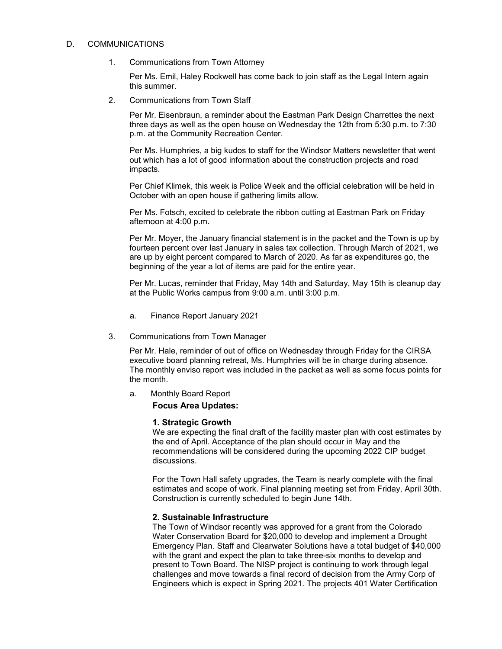#### D. COMMUNICATIONS

1. Communications from Town Attorney

Per Ms. Emil, Haley Rockwell has come back to join staff as the Legal Intern again this summer.

2. Communications from Town Staff

Per Mr. Eisenbraun, a reminder about the Eastman Park Design Charrettes the next three days as well as the open house on Wednesday the 12th from 5:30 p.m. to 7:30 p.m. at the Community Recreation Center.

Per Ms. Humphries, a big kudos to staff for the Windsor Matters newsletter that went out which has a lot of good information about the construction projects and road impacts.

Per Chief Klimek, this week is Police Week and the official celebration will be held in October with an open house if gathering limits allow.

Per Ms. Fotsch, excited to celebrate the ribbon cutting at Eastman Park on Friday afternoon at 4:00 p.m.

Per Mr. Moyer, the January financial statement is in the packet and the Town is up by fourteen percent over last January in sales tax collection. Through March of 2021, we are up by eight percent compared to March of 2020. As far as expenditures go, the beginning of the year a lot of items are paid for the entire year.

Per Mr. Lucas, reminder that Friday, May 14th and Saturday, May 15th is cleanup day at the Public Works campus from 9:00 a.m. until 3:00 p.m.

- a. Finance Report January 2021
- 3. Communications from Town Manager

Per Mr. Hale, reminder of out of office on Wednesday through Friday for the CIRSA executive board planning retreat, Ms. Humphries will be in charge during absence. The monthly enviso report was included in the packet as well as some focus points for the month.

a. Monthly Board Report

**Focus Area Updates:**

# **1. Strategic Growth**

We are expecting the final draft of the facility master plan with cost estimates by the end of April. Acceptance of the plan should occur in May and the recommendations will be considered during the upcoming 2022 CIP budget discussions.

For the Town Hall safety upgrades, the Team is nearly complete with the final estimates and scope of work. Final planning meeting set from Friday, April 30th. Construction is currently scheduled to begin June 14th.

# **2. Sustainable Infrastructure**

The Town of Windsor recently was approved for a grant from the Colorado Water Conservation Board for \$20,000 to develop and implement a Drought Emergency Plan. Staff and Clearwater Solutions have a total budget of \$40,000 with the grant and expect the plan to take three-six months to develop and present to Town Board. The NISP project is continuing to work through legal challenges and move towards a final record of decision from the Army Corp of Engineers which is expect in Spring 2021. The projects 401 Water Certification